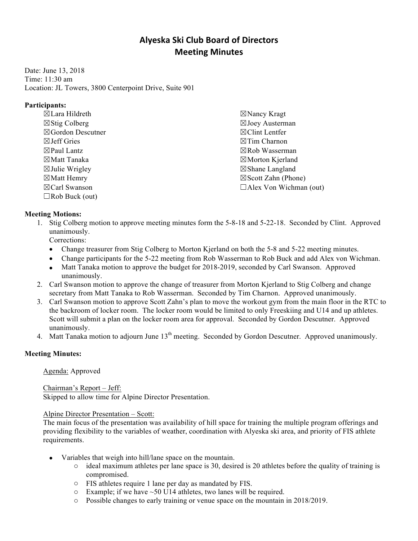# **Alyeska Ski Club Board of Directors Meeting Minutes**

Date: June 13, 2018 Time: 11:30 am Location: JL Towers, 3800 Centerpoint Drive, Suite 901

## **Participants:**

☒ Lara Hildreth ☒ Stig Colberg ☒ Gordon Descutner ☒ Jeff Gries  $\boxtimes$  Paul Lantz ☒ Matt Tanaka  $\boxtimes$  Julie Wrigley ☒ Matt Hemry ☒ Carl Swanson  $\Box$  Rob Buck (out)

☒ Nancy Kragt ☒ Joey Austerman ☒ Clint Lentfer ☒ Tim Charnon ☒ Rob Wasserman ☒ Morton Kjerland ☒ Shane Langland  $\boxtimes$  Scott Zahn (Phone)  $\Box$ Alex Von Wichman (out)

# **Meeting Motions:**

- 1. Stig Colberg motion to approve meeting minutes form the 5-8-18 and 5-22-18. Seconded by Clint. Approved unanimously. Corrections:
	- Change treasurer from Stig Colberg to Morton Kjerland on both the 5-8 and 5-22 meeting minutes.
	- Change participants for the 5-22 meeting from Rob Wasserman to Rob Buck and add Alex von Wichman.
	- Matt Tanaka motion to approve the budget for 2018-2019, seconded by Carl Swanson. Approved unanimously.
- 2. Carl Swanson motion to approve the change of treasurer from Morton Kjerland to Stig Colberg and change secretary from Matt Tanaka to Rob Wasserman. Seconded by Tim Charnon. Approved unanimously.
- 3. Carl Swanson motion to approve Scott Zahn's plan to move the workout gym from the main floor in the RTC to the backroom of locker room. The locker room would be limited to only Freeskiing and U14 and up athletes. Scott will submit a plan on the locker room area for approval. Seconded by Gordon Descutner. Approved unanimously.
- 4. Matt Tanaka motion to adjourn June 13<sup>th</sup> meeting. Seconded by Gordon Descutner. Approved unanimously.

# **Meeting Minutes:**

Agenda: Approved

Chairman's Report – Jeff:

Skipped to allow time for Alpine Director Presentation.

# Alpine Director Presentation – Scott:

The main focus of the presentation was availability of hill space for training the multiple program offerings and providing flexibility to the variables of weather, coordination with Alyeska ski area, and priority of FIS athlete requirements.

- Variables that weigh into hill/lane space on the mountain.
	- o ideal maximum athletes per lane space is 30, desired is 20 athletes before the quality of training is compromised.
	- o FIS athletes require 1 lane per day as mandated by FIS.
	- $\circ$  Example; if we have  $\sim$  50 U14 athletes, two lanes will be required.
	- o Possible changes to early training or venue space on the mountain in 2018/2019.